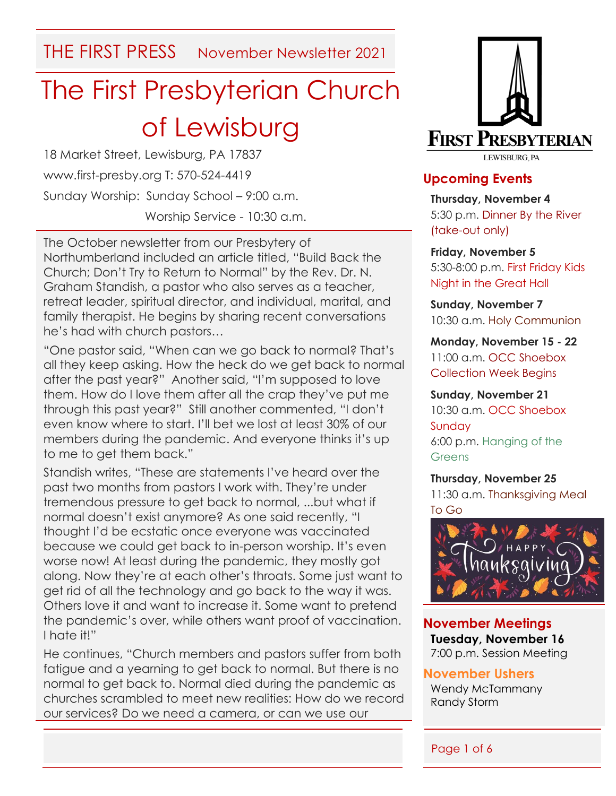THE FIRST PRESS November Newsletter 2021

# The First Presbyterian Church of Lewisburg

18 Market Street, Lewisburg, PA 17837 www.first-presby.org T: 570-524-4419 Sunday Worship: Sunday School – 9:00 a.m. Worship Service - 10:30 a.m.

The October newsletter from our Presbytery of Northumberland included an article titled, "Build Back the Church; Don't Try to Return to Normal" by the Rev. Dr. N. Graham Standish, a pastor who also serves as a teacher, retreat leader, spiritual director, and individual, marital, and family therapist. He begins by sharing recent conversations he's had with church pastors…

"One pastor said, "When can we go back to normal? That's all they keep asking. How the heck do we get back to normal after the past year?" Another said, "I'm supposed to love them. How do I love them after all the crap they've put me through this past year?" Still another commented, "I don't even know where to start. I'll bet we lost at least 30% of our members during the pandemic. And everyone thinks it's up to me to get them back."

Standish writes, "These are statements I've heard over the past two months from pastors I work with. They're under tremendous pressure to get back to normal, ...but what if normal doesn't exist anymore? As one said recently, "I thought I'd be ecstatic once everyone was vaccinated because we could get back to in-person worship. It's even worse now! At least during the pandemic, they mostly got along. Now they're at each other's throats. Some just want to get rid of all the technology and go back to the way it was. Others love it and want to increase it. Some want to pretend the pandemic's over, while others want proof of vaccination. I hate it!"

He continues, "Church members and pastors suffer from both fatigue and a yearning to get back to normal. But there is no normal to get back to. Normal died during the pandemic as churches scrambled to meet new realities: How do we record our services? Do we need a camera, or can we use our



#### **Upcoming Events**

**Thursday, November 4** 5:30 p.m. Dinner By the River (take-out only)

**Friday, November 5** 5:30-8:00 p.m. First Friday Kids Night in the Great Hall

**Sunday, November 7** 10:30 a.m. Holy Communion

**Monday, November 15 - 22** 11:00 a.m. OCC Shoebox Collection Week Begins

**Sunday, November 21** 10:30 a.m. OCC Shoebox Sunday 6:00 p.m. Hanging of the Greens

**Thursday, November 25** 11:30 a.m. Thanksgiving Meal



**November Meetings Tuesday, November 16** 7:00 p.m. Session Meeting

**November Ushers**

Wendy McTammany Randy Storm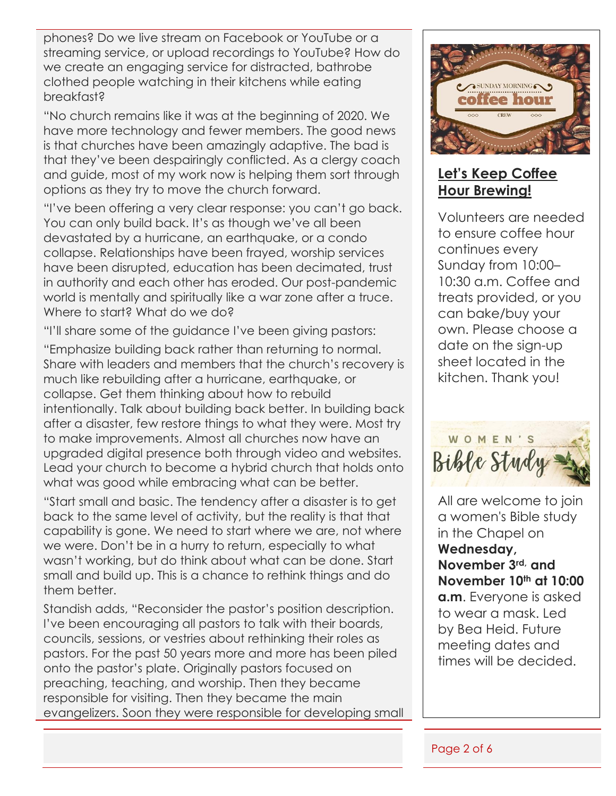phones? Do we live stream on Facebook or YouTube or a streaming service, or upload recordings to YouTube? How do we create an engaging service for distracted, bathrobe clothed people watching in their kitchens while eating breakfast?

"No church remains like it was at the beginning of 2020. We have more technology and fewer members. The good news is that churches have been amazingly adaptive. The bad is that they've been despairingly conflicted. As a clergy coach and guide, most of my work now is helping them sort through options as they try to move the church forward.

"I've been offering a very clear response: you can't go back. You can only build back. It's as though we've all been devastated by a hurricane, an earthquake, or a condo collapse. Relationships have been frayed, worship services have been disrupted, education has been decimated, trust in authority and each other has eroded. Our post-pandemic world is mentally and spiritually like a war zone after a truce. Where to start? What do we do?

"I'll share some of the guidance I've been giving pastors:

"Emphasize building back rather than returning to normal. Share with leaders and members that the church's recovery is much like rebuilding after a hurricane, earthquake, or collapse. Get them thinking about how to rebuild intentionally. Talk about building back better. In building back after a disaster, few restore things to what they were. Most try to make improvements. Almost all churches now have an upgraded digital presence both through video and websites. Lead your church to become a hybrid church that holds onto what was good while embracing what can be better.

"Start small and basic. The tendency after a disaster is to get back to the same level of activity, but the reality is that that capability is gone. We need to start where we are, not where we were. Don't be in a hurry to return, especially to what wasn't working, but do think about what can be done. Start small and build up. This is a chance to rethink things and do them better.

Standish adds, "Reconsider the pastor's position description. I've been encouraging all pastors to talk with their boards, councils, sessions, or vestries about rethinking their roles as pastors. For the past 50 years more and more has been piled onto the pastor's plate. Originally pastors focused on preaching, teaching, and worship. Then they became responsible for visiting. Then they became the main evangelizers. Soon they were responsible for developing small



### **Let's Keep Coffee Hour Brewing!**

Volunteers are needed to ensure coffee hour continues every Sunday from 10:00– 10:30 a.m. Coffee and treats provided, or you can bake/buy your own. Please choose a date on the sign-up sheet located in the kitchen. Thank you!



All are welcome to join a women's Bible study in the Chapel on **Wednesday, November 3rd, and November 10th at 10:00 a.m**. Everyone is asked to wear a mask. Led by Bea Heid. Future meeting dates and times will be decided.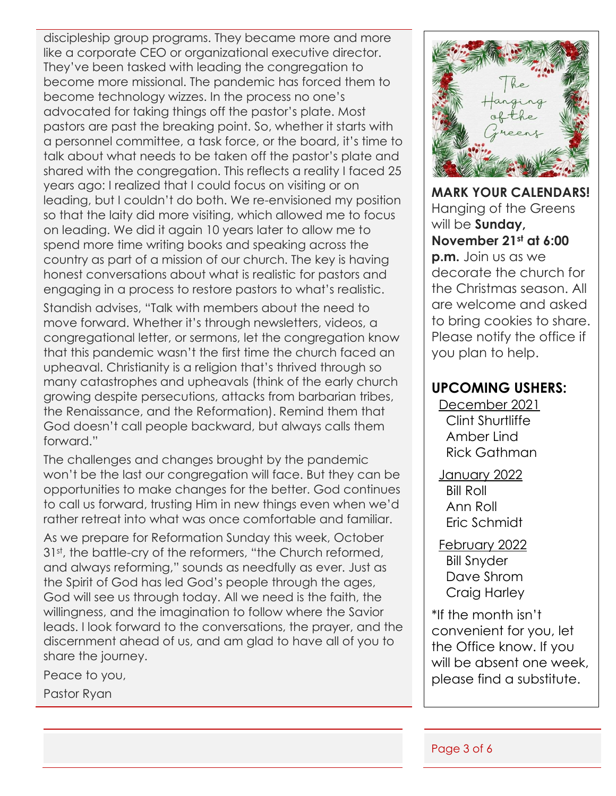discipleship group programs. They became more and more like a corporate CEO or organizational executive director. They've been tasked with leading the congregation to become more missional. The pandemic has forced them to become technology wizzes. In the process no one's advocated for taking things off the pastor's plate. Most pastors are past the breaking point. So, whether it starts with a personnel committee, a task force, or the board, it's time to talk about what needs to be taken off the pastor's plate and shared with the congregation. This reflects a reality I faced 25 years ago: I realized that I could focus on visiting or on leading, but I couldn't do both. We re-envisioned my position so that the laity did more visiting, which allowed me to focus on leading. We did it again 10 years later to allow me to spend more time writing books and speaking across the country as part of a mission of our church. The key is having honest conversations about what is realistic for pastors and engaging in a process to restore pastors to what's realistic.

Standish advises, "Talk with members about the need to move forward. Whether it's through newsletters, videos, a congregational letter, or sermons, let the congregation know that this pandemic wasn't the first time the church faced an upheaval. Christianity is a religion that's thrived through so many catastrophes and upheavals (think of the early church growing despite persecutions, attacks from barbarian tribes, the Renaissance, and the Reformation). Remind them that God doesn't call people backward, but always calls them forward."

The challenges and changes brought by the pandemic won't be the last our congregation will face. But they can be opportunities to make changes for the better. God continues to call us forward, trusting Him in new things even when we'd rather retreat into what was once comfortable and familiar.

As we prepare for Reformation Sunday this week, October 31<sup>st</sup>, the battle-cry of the reformers, "the Church reformed, and always reforming," sounds as needfully as ever. Just as the Spirit of God has led God's people through the ages, God will see us through today. All we need is the faith, the willingness, and the imagination to follow where the Savior leads. I look forward to the conversations, the prayer, and the discernment ahead of us, and am glad to have all of you to share the journey.

Peace to you,

Pastor Ryan



**MARK YOUR CALENDARS!**  Hanging of the Greens will be **Sunday, November 21st at 6:00** 

**p.m.** Join us as we decorate the church for the Christmas season. All are welcome and asked to bring cookies to share. Please notify the office if you plan to help.

#### **UPCOMING USHERS:**

December 2021 Clint Shurtliffe Amber Lind Rick Gathman

January 2022 Bill Roll Ann Roll Eric Schmidt

February 2022 Bill Snyder Dave Shrom Craig Harley

\*If the month isn't convenient for you, let the Office know. If you will be absent one week, please find a substitute.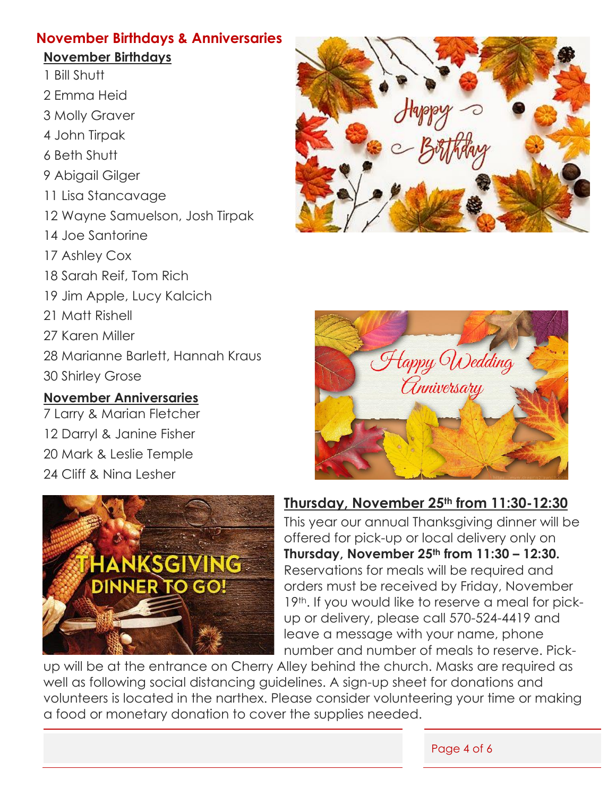#### **November Birthdays & Anniversaries**

#### **November Birthdays**

- 1 Bill Shutt
- 2 Emma Heid
- 3 Molly Graver
- 4 John Tirpak
- 6 Beth Shutt
- 9 Abigail Gilger
- 11 Lisa Stancavage
- 12 Wayne Samuelson, Josh Tirpak
- 14 Joe Santorine
- 17 Ashley Cox
- 18 Sarah Reif, Tom Rich
- 19 Jim Apple, Lucy Kalcich
- 21 Matt Rishell
- 27 Karen Miller
- 28 Marianne Barlett, Hannah Kraus
- 30 Shirley Grose

### **November Anniversaries**

7 Larry & Marian Fletcher 12 Darryl & Janine Fisher 20 Mark & Leslie Temple 24 Cliff & Nina Lesher







## **Thursday, November 25th from 11:30-12:30**

This year our annual Thanksgiving dinner will be offered for pick-up or local delivery only on **Thursday, November 25th from 11:30 – 12:30.** Reservations for meals will be required and orders must be received by Friday, November 19<sup>th</sup>. If you would like to reserve a meal for pickup or delivery, please call 570-524-4419 and leave a message with your name, phone number and number of meals to reserve. Pick-

up will be at the entrance on Cherry Alley behind the church. Masks are required as well as following social distancing guidelines. A sign-up sheet for donations and volunteers is located in the narthex. Please consider volunteering your time or making a food or monetary donation to cover the supplies needed.

Page 4 of 6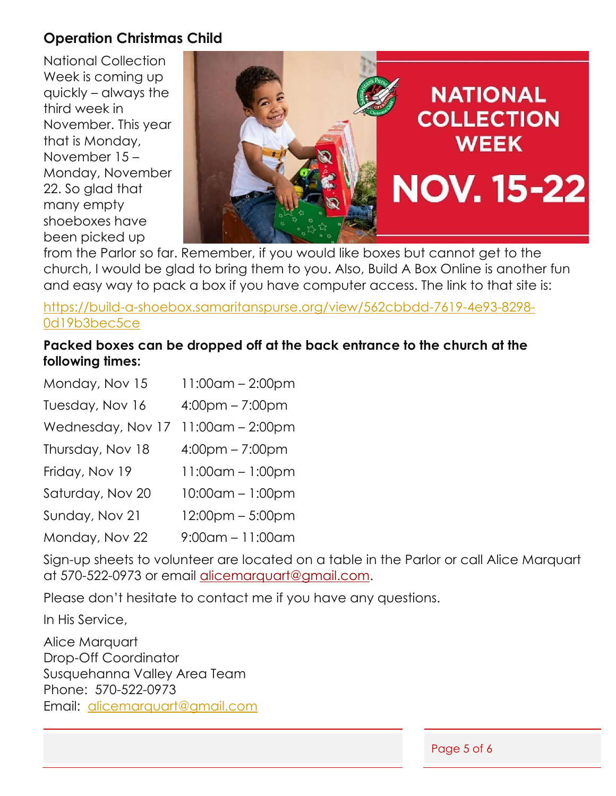#### **Operation Christmas Child**

National Collection Week is coming up quickly – always the third week in November. This year that is Monday, November 15 – Monday, November 22. So glad that many empty shoeboxes have been picked up



from the Parlor so far. Remember, if you would like boxes but cannot get to the church, I would be glad to bring them to you. Also, Build A Box Online is another fun and easy way to pack a box if you have computer access. The link to that site is:

[https://build-a-shoebox.samaritanspurse.org/view/562cbbdd-7619-4e93-8298-](https://build-a-shoebox.samaritanspurse.org/view/562cbbdd-7619-4e93-8298-0d19b3bec5ce) [0d19b3bec5ce](https://build-a-shoebox.samaritanspurse.org/view/562cbbdd-7619-4e93-8298-0d19b3bec5ce)

#### **Packed boxes can be dropped off at the back entrance to the church at the following times:**

| Monday, Nov 15    | $11:00$ am – 2:00pm               |
|-------------------|-----------------------------------|
| Tuesday, Nov 16   | $4:00 \text{pm} - 7:00 \text{pm}$ |
| Wednesday, Nov 17 | 11:00am - 2:00pm                  |
| Thursday, Nov 18  | $4:00 \text{pm} - 7:00 \text{pm}$ |
| Friday, Nov 19    | 11:00am - 1:00pm                  |
| Saturday, Nov 20  | 10:00am - 1:00pm                  |
| Sunday, Nov 21    | 12:00pm - 5:00pm                  |
| Monday, Nov 22    | $9:00$ am – 11:00am               |

Sign-up sheets to volunteer are located on a table in the Parlor or call Alice Marquart at 570-522-0973 or email alicemarquart@gmail.com.

Please don't hesitate to contact me if you have any questions.

In His Service,

Alice Marquart Drop-Off Coordinator Susquehanna Valley Area Team Phone: 570-522-0973 Email: [alicemarquart@gmail.com](mailto:alicemarquart@gmail.com)

Page 5 of 6